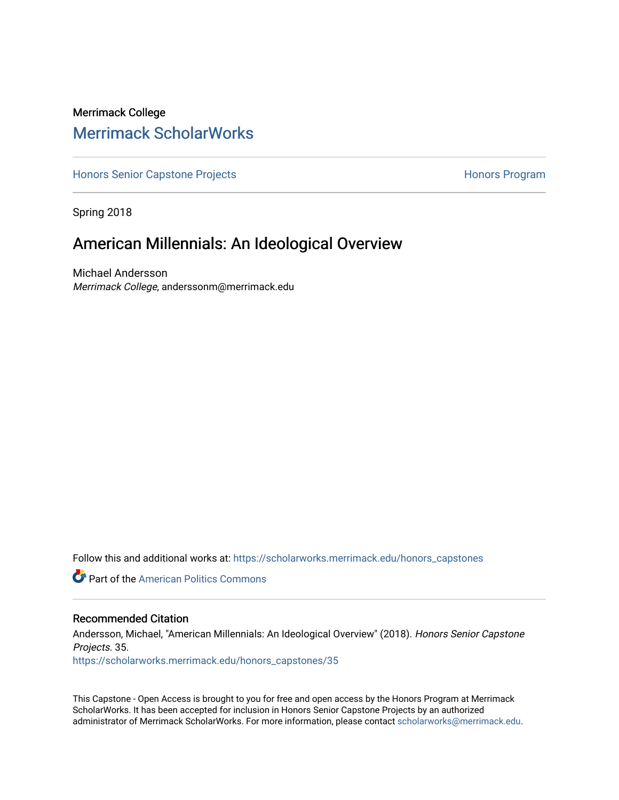## Merrimack College [Merrimack ScholarWorks](https://scholarworks.merrimack.edu/)

[Honors Senior Capstone Projects](https://scholarworks.merrimack.edu/honors_capstones) **Honors Program** Honors Program

Spring 2018

## American Millennials: An Ideological Overview

Michael Andersson Merrimack College, anderssonm@merrimack.edu

Follow this and additional works at: [https://scholarworks.merrimack.edu/honors\\_capstones](https://scholarworks.merrimack.edu/honors_capstones?utm_source=scholarworks.merrimack.edu%2Fhonors_capstones%2F35&utm_medium=PDF&utm_campaign=PDFCoverPages)

**Part of the American Politics Commons** 

#### Recommended Citation

Andersson, Michael, "American Millennials: An Ideological Overview" (2018). Honors Senior Capstone Projects. 35.

[https://scholarworks.merrimack.edu/honors\\_capstones/35](https://scholarworks.merrimack.edu/honors_capstones/35?utm_source=scholarworks.merrimack.edu%2Fhonors_capstones%2F35&utm_medium=PDF&utm_campaign=PDFCoverPages) 

This Capstone - Open Access is brought to you for free and open access by the Honors Program at Merrimack ScholarWorks. It has been accepted for inclusion in Honors Senior Capstone Projects by an authorized administrator of Merrimack ScholarWorks. For more information, please contact [scholarworks@merrimack.edu](mailto:scholarworks@merrimack.edu).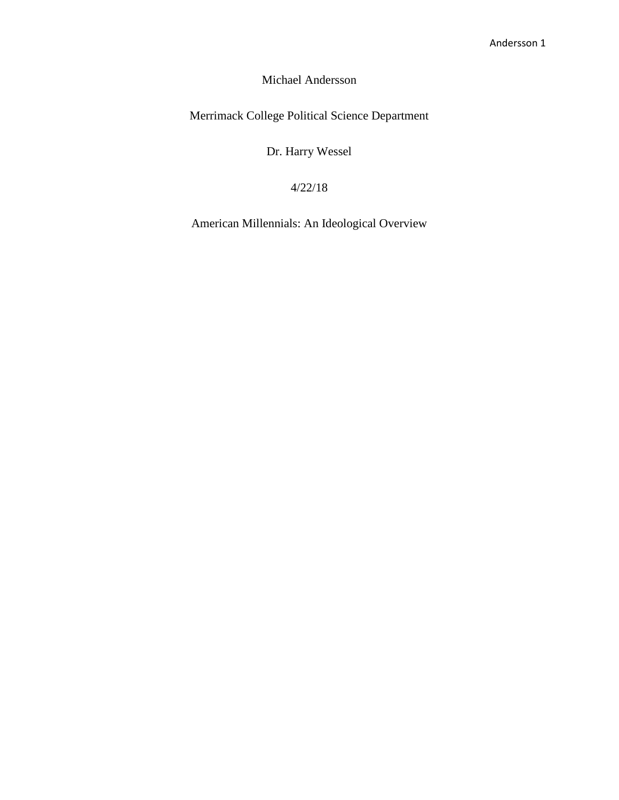### Michael Andersson

Merrimack College Political Science Department

Dr. Harry Wessel

4/22/18

American Millennials: An Ideological Overview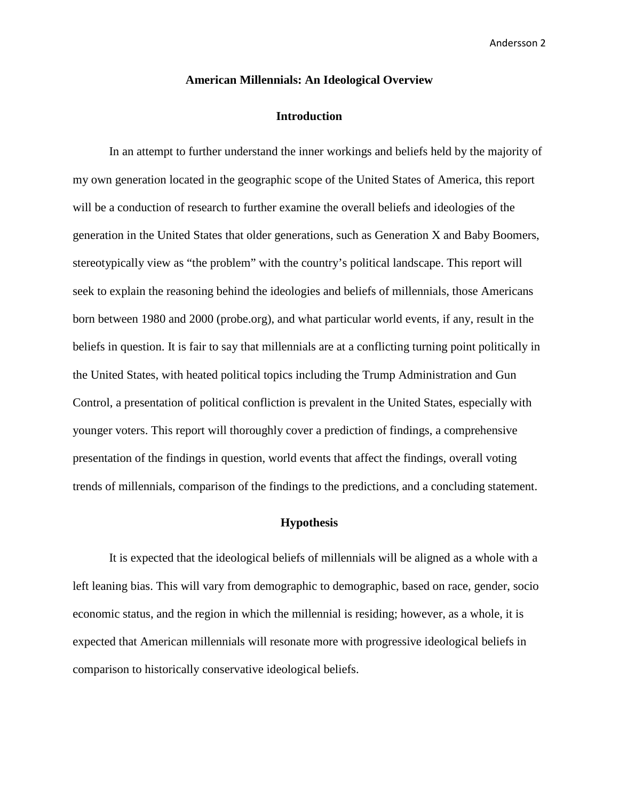#### **American Millennials: An Ideological Overview**

#### **Introduction**

In an attempt to further understand the inner workings and beliefs held by the majority of my own generation located in the geographic scope of the United States of America, this report will be a conduction of research to further examine the overall beliefs and ideologies of the generation in the United States that older generations, such as Generation X and Baby Boomers, stereotypically view as "the problem" with the country's political landscape. This report will seek to explain the reasoning behind the ideologies and beliefs of millennials, those Americans born between 1980 and 2000 (probe.org), and what particular world events, if any, result in the beliefs in question. It is fair to say that millennials are at a conflicting turning point politically in the United States, with heated political topics including the Trump Administration and Gun Control, a presentation of political confliction is prevalent in the United States, especially with younger voters. This report will thoroughly cover a prediction of findings, a comprehensive presentation of the findings in question, world events that affect the findings, overall voting trends of millennials, comparison of the findings to the predictions, and a concluding statement.

#### **Hypothesis**

It is expected that the ideological beliefs of millennials will be aligned as a whole with a left leaning bias. This will vary from demographic to demographic, based on race, gender, socio economic status, and the region in which the millennial is residing; however, as a whole, it is expected that American millennials will resonate more with progressive ideological beliefs in comparison to historically conservative ideological beliefs.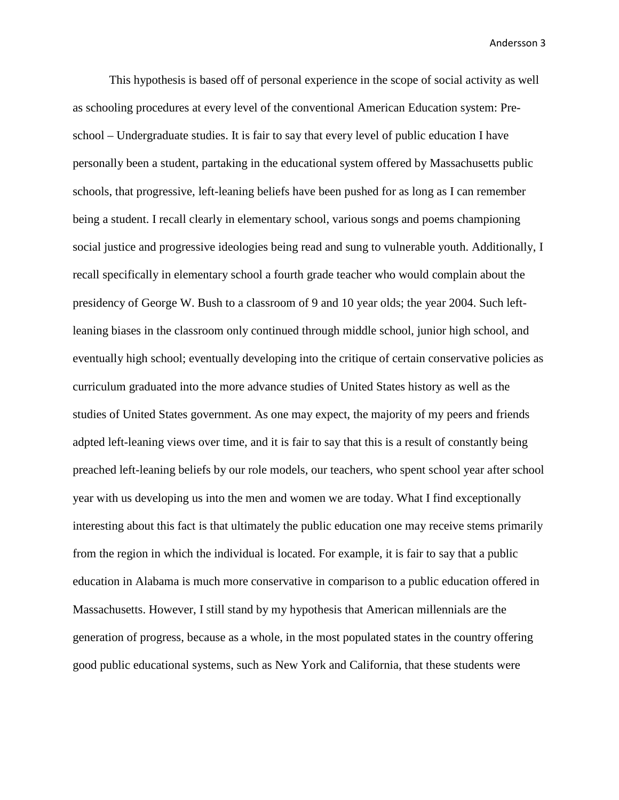This hypothesis is based off of personal experience in the scope of social activity as well as schooling procedures at every level of the conventional American Education system: Preschool – Undergraduate studies. It is fair to say that every level of public education I have personally been a student, partaking in the educational system offered by Massachusetts public schools, that progressive, left-leaning beliefs have been pushed for as long as I can remember being a student. I recall clearly in elementary school, various songs and poems championing social justice and progressive ideologies being read and sung to vulnerable youth. Additionally, I recall specifically in elementary school a fourth grade teacher who would complain about the presidency of George W. Bush to a classroom of 9 and 10 year olds; the year 2004. Such leftleaning biases in the classroom only continued through middle school, junior high school, and eventually high school; eventually developing into the critique of certain conservative policies as curriculum graduated into the more advance studies of United States history as well as the studies of United States government. As one may expect, the majority of my peers and friends adpted left-leaning views over time, and it is fair to say that this is a result of constantly being preached left-leaning beliefs by our role models, our teachers, who spent school year after school year with us developing us into the men and women we are today. What I find exceptionally interesting about this fact is that ultimately the public education one may receive stems primarily from the region in which the individual is located. For example, it is fair to say that a public education in Alabama is much more conservative in comparison to a public education offered in Massachusetts. However, I still stand by my hypothesis that American millennials are the generation of progress, because as a whole, in the most populated states in the country offering good public educational systems, such as New York and California, that these students were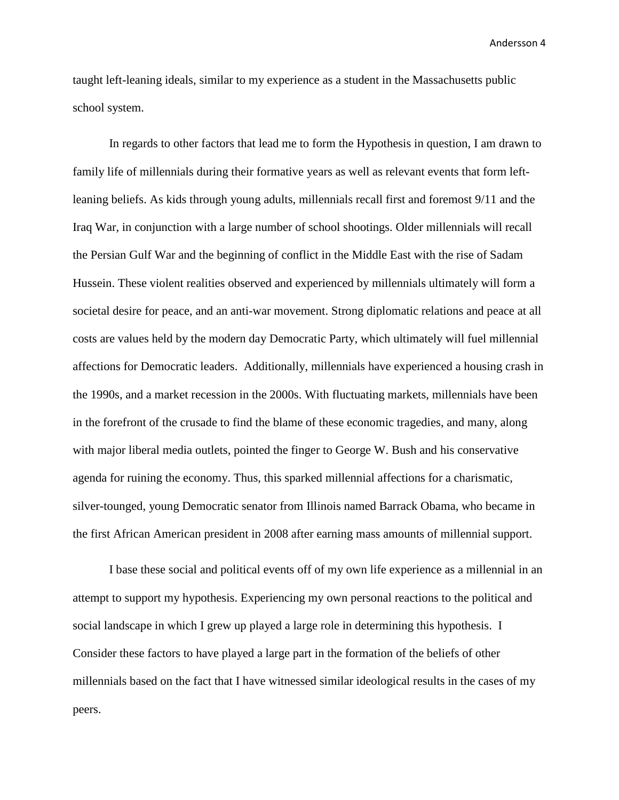taught left-leaning ideals, similar to my experience as a student in the Massachusetts public school system.

In regards to other factors that lead me to form the Hypothesis in question, I am drawn to family life of millennials during their formative years as well as relevant events that form leftleaning beliefs. As kids through young adults, millennials recall first and foremost 9/11 and the Iraq War, in conjunction with a large number of school shootings. Older millennials will recall the Persian Gulf War and the beginning of conflict in the Middle East with the rise of Sadam Hussein. These violent realities observed and experienced by millennials ultimately will form a societal desire for peace, and an anti-war movement. Strong diplomatic relations and peace at all costs are values held by the modern day Democratic Party, which ultimately will fuel millennial affections for Democratic leaders. Additionally, millennials have experienced a housing crash in the 1990s, and a market recession in the 2000s. With fluctuating markets, millennials have been in the forefront of the crusade to find the blame of these economic tragedies, and many, along with major liberal media outlets, pointed the finger to George W. Bush and his conservative agenda for ruining the economy. Thus, this sparked millennial affections for a charismatic, silver-tounged, young Democratic senator from Illinois named Barrack Obama, who became in the first African American president in 2008 after earning mass amounts of millennial support.

I base these social and political events off of my own life experience as a millennial in an attempt to support my hypothesis. Experiencing my own personal reactions to the political and social landscape in which I grew up played a large role in determining this hypothesis. I Consider these factors to have played a large part in the formation of the beliefs of other millennials based on the fact that I have witnessed similar ideological results in the cases of my peers.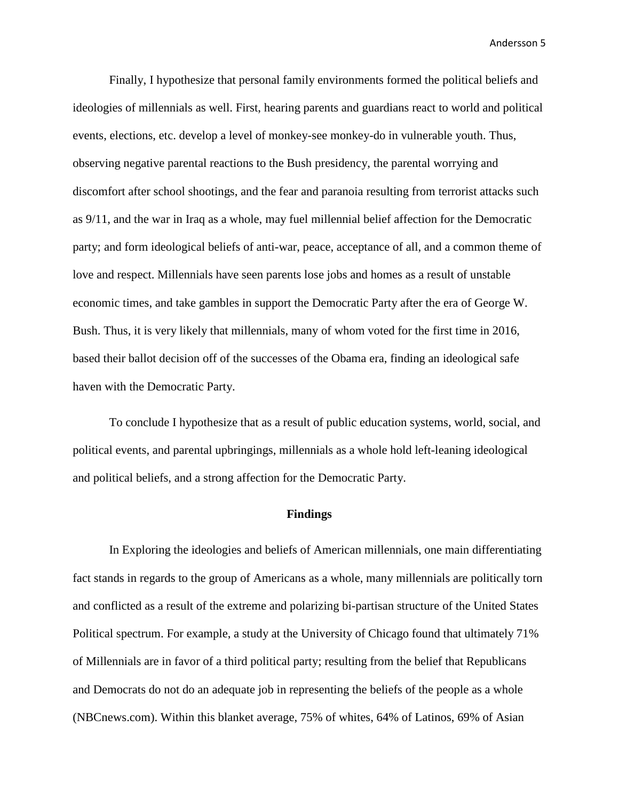Finally, I hypothesize that personal family environments formed the political beliefs and ideologies of millennials as well. First, hearing parents and guardians react to world and political events, elections, etc. develop a level of monkey-see monkey-do in vulnerable youth. Thus, observing negative parental reactions to the Bush presidency, the parental worrying and discomfort after school shootings, and the fear and paranoia resulting from terrorist attacks such as 9/11, and the war in Iraq as a whole, may fuel millennial belief affection for the Democratic party; and form ideological beliefs of anti-war, peace, acceptance of all, and a common theme of love and respect. Millennials have seen parents lose jobs and homes as a result of unstable economic times, and take gambles in support the Democratic Party after the era of George W. Bush. Thus, it is very likely that millennials, many of whom voted for the first time in 2016, based their ballot decision off of the successes of the Obama era, finding an ideological safe haven with the Democratic Party.

To conclude I hypothesize that as a result of public education systems, world, social, and political events, and parental upbringings, millennials as a whole hold left-leaning ideological and political beliefs, and a strong affection for the Democratic Party.

#### **Findings**

In Exploring the ideologies and beliefs of American millennials, one main differentiating fact stands in regards to the group of Americans as a whole, many millennials are politically torn and conflicted as a result of the extreme and polarizing bi-partisan structure of the United States Political spectrum. For example, a study at the University of Chicago found that ultimately 71% of Millennials are in favor of a third political party; resulting from the belief that Republicans and Democrats do not do an adequate job in representing the beliefs of the people as a whole (NBCnews.com). Within this blanket average, 75% of whites, 64% of Latinos, 69% of Asian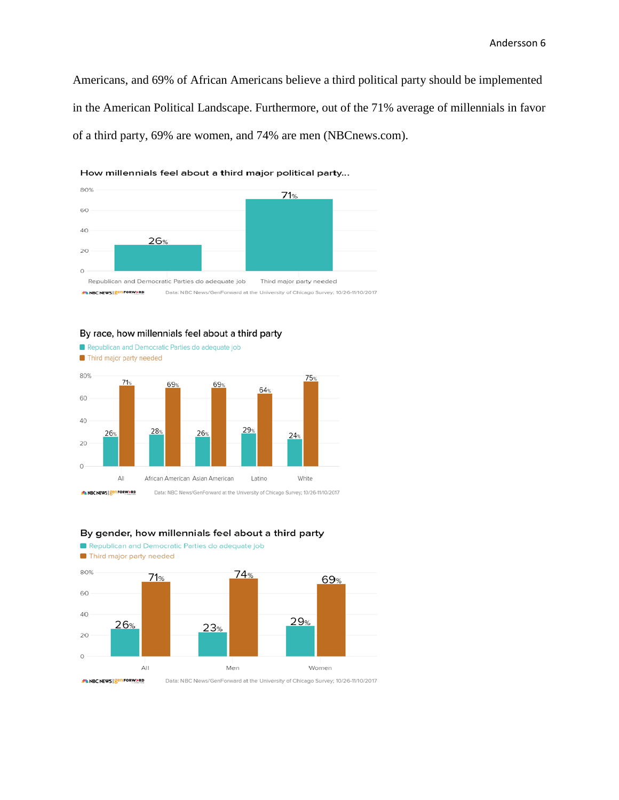Americans, and 69% of African Americans believe a third political party should be implemented in the American Political Landscape. Furthermore, out of the 71% average of millennials in favor of a third party, 69% are women, and 74% are men (NBCnews.com).



By race, how millennials feel about a third party







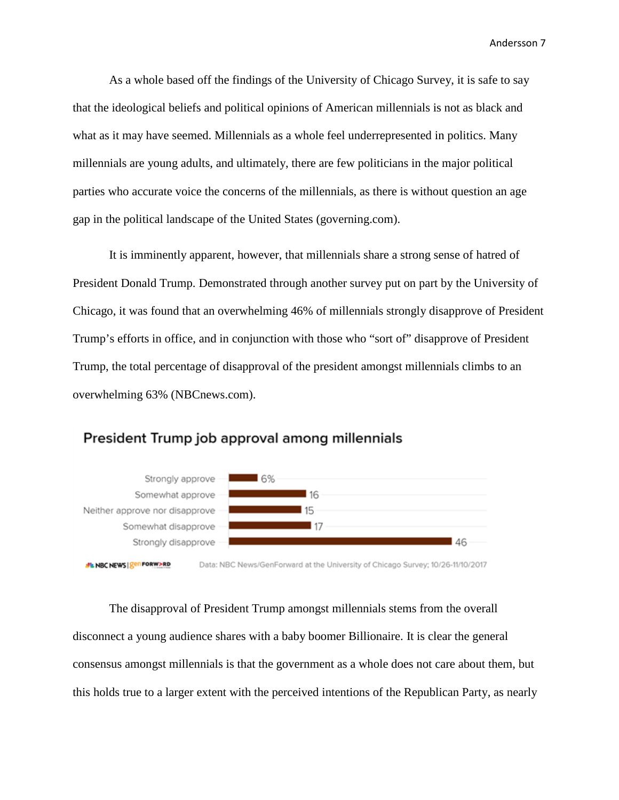As a whole based off the findings of the University of Chicago Survey, it is safe to say that the ideological beliefs and political opinions of American millennials is not as black and what as it may have seemed. Millennials as a whole feel underrepresented in politics. Many millennials are young adults, and ultimately, there are few politicians in the major political parties who accurate voice the concerns of the millennials, as there is without question an age gap in the political landscape of the United States (governing.com).

It is imminently apparent, however, that millennials share a strong sense of hatred of President Donald Trump. Demonstrated through another survey put on part by the University of Chicago, it was found that an overwhelming 46% of millennials strongly disapprove of President Trump's efforts in office, and in conjunction with those who "sort of" disapprove of President Trump, the total percentage of disapproval of the president amongst millennials climbs to an overwhelming 63% (NBCnews.com).



# The disapproval of President Trump amongst millennials stems from the overall disconnect a young audience shares with a baby boomer Billionaire. It is clear the general consensus amongst millennials is that the government as a whole does not care about them, but this holds true to a larger extent with the perceived intentions of the Republican Party, as nearly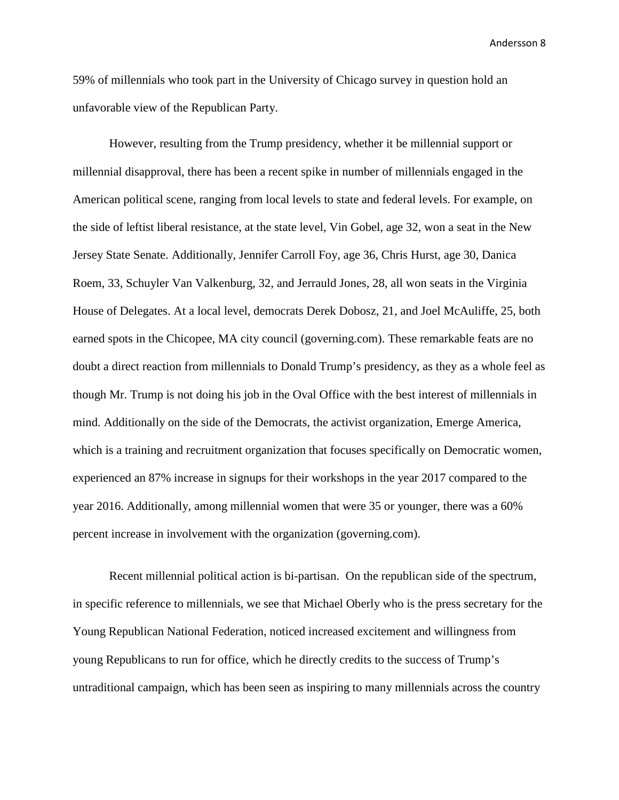59% of millennials who took part in the University of Chicago survey in question hold an unfavorable view of the Republican Party.

However, resulting from the Trump presidency, whether it be millennial support or millennial disapproval, there has been a recent spike in number of millennials engaged in the American political scene, ranging from local levels to state and federal levels. For example, on the side of leftist liberal resistance, at the state level, Vin Gobel, age 32, won a seat in the New Jersey State Senate. Additionally, Jennifer Carroll Foy, age 36, Chris Hurst, age 30, Danica Roem, 33, Schuyler Van Valkenburg, 32, and Jerrauld Jones, 28, all won seats in the Virginia House of Delegates. At a local level, democrats Derek Dobosz, 21, and Joel McAuliffe, 25, both earned spots in the Chicopee, MA city council (governing.com). These remarkable feats are no doubt a direct reaction from millennials to Donald Trump's presidency, as they as a whole feel as though Mr. Trump is not doing his job in the Oval Office with the best interest of millennials in mind. Additionally on the side of the Democrats, the activist organization, Emerge America, which is a training and recruitment organization that focuses specifically on Democratic women, experienced an 87% increase in signups for their workshops in the year 2017 compared to the year 2016. Additionally, among millennial women that were 35 or younger, there was a 60% percent increase in involvement with the organization (governing.com).

Recent millennial political action is bi-partisan. On the republican side of the spectrum, in specific reference to millennials, we see that Michael Oberly who is the press secretary for the Young Republican National Federation, noticed increased excitement and willingness from young Republicans to run for office, which he directly credits to the success of Trump's untraditional campaign, which has been seen as inspiring to many millennials across the country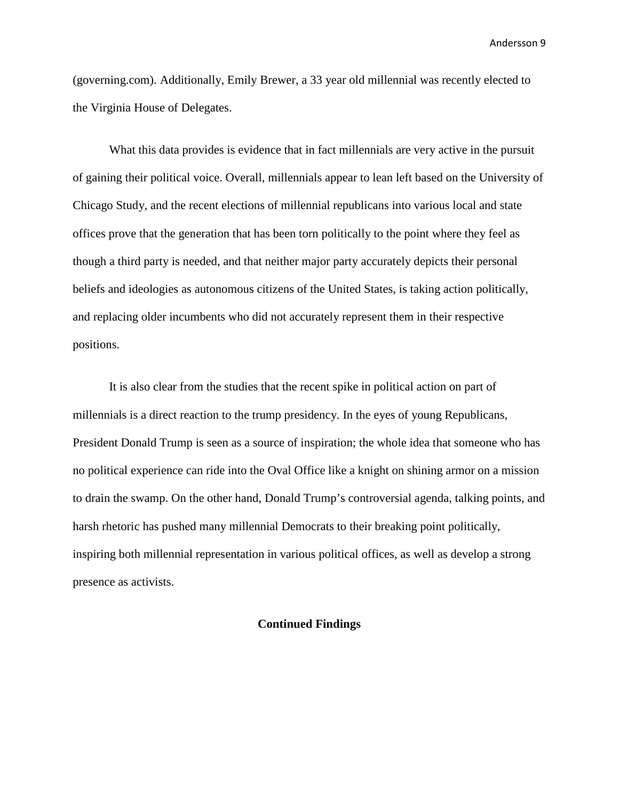(governing.com). Additionally, Emily Brewer, a 33 year old millennial was recently elected to the Virginia House of Delegates.

What this data provides is evidence that in fact millennials are very active in the pursuit of gaining their political voice. Overall, millennials appear to lean left based on the University of Chicago Study, and the recent elections of millennial republicans into various local and state offices prove that the generation that has been torn politically to the point where they feel as though a third party is needed, and that neither major party accurately depicts their personal beliefs and ideologies as autonomous citizens of the United States, is taking action politically, and replacing older incumbents who did not accurately represent them in their respective positions.

It is also clear from the studies that the recent spike in political action on part of millennials is a direct reaction to the trump presidency. In the eyes of young Republicans, President Donald Trump is seen as a source of inspiration; the whole idea that someone who has no political experience can ride into the Oval Office like a knight on shining armor on a mission to drain the swamp. On the other hand, Donald Trump's controversial agenda, talking points, and harsh rhetoric has pushed many millennial Democrats to their breaking point politically, inspiring both millennial representation in various political offices, as well as develop a strong presence as activists.

#### **Continued Findings**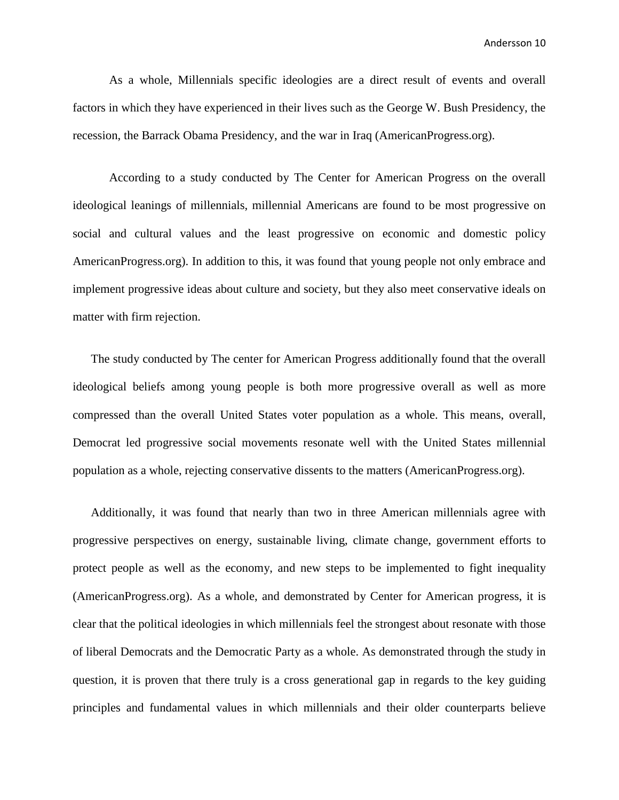As a whole, Millennials specific ideologies are a direct result of events and overall factors in which they have experienced in their lives such as the George W. Bush Presidency, the recession, the Barrack Obama Presidency, and the war in Iraq (AmericanProgress.org).

According to a study conducted by The Center for American Progress on the overall ideological leanings of millennials, millennial Americans are found to be most progressive on social and cultural values and the least progressive on economic and domestic policy AmericanProgress.org). In addition to this, it was found that young people not only embrace and implement progressive ideas about culture and society, but they also meet conservative ideals on matter with firm rejection.

The study conducted by The center for American Progress additionally found that the overall ideological beliefs among young people is both more progressive overall as well as more compressed than the overall United States voter population as a whole. This means, overall, Democrat led progressive social movements resonate well with the United States millennial population as a whole, rejecting conservative dissents to the matters (AmericanProgress.org).

Additionally, it was found that nearly than two in three American millennials agree with progressive perspectives on energy, sustainable living, climate change, government efforts to protect people as well as the economy, and new steps to be implemented to fight inequality (AmericanProgress.org). As a whole, and demonstrated by Center for American progress, it is clear that the political ideologies in which millennials feel the strongest about resonate with those of liberal Democrats and the Democratic Party as a whole. As demonstrated through the study in question, it is proven that there truly is a cross generational gap in regards to the key guiding principles and fundamental values in which millennials and their older counterparts believe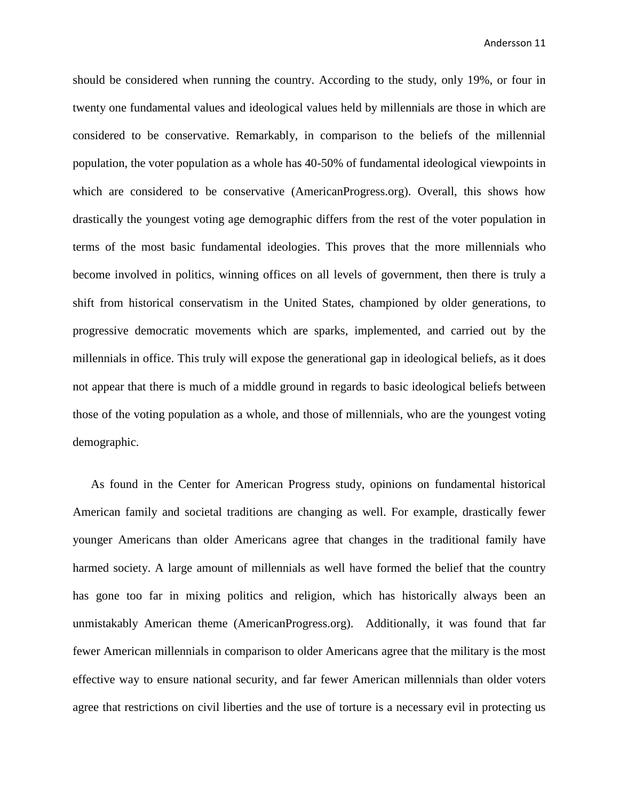should be considered when running the country. According to the study, only 19%, or four in twenty one fundamental values and ideological values held by millennials are those in which are considered to be conservative. Remarkably, in comparison to the beliefs of the millennial population, the voter population as a whole has 40-50% of fundamental ideological viewpoints in which are considered to be conservative (AmericanProgress.org). Overall, this shows how drastically the youngest voting age demographic differs from the rest of the voter population in terms of the most basic fundamental ideologies. This proves that the more millennials who become involved in politics, winning offices on all levels of government, then there is truly a shift from historical conservatism in the United States, championed by older generations, to progressive democratic movements which are sparks, implemented, and carried out by the millennials in office. This truly will expose the generational gap in ideological beliefs, as it does not appear that there is much of a middle ground in regards to basic ideological beliefs between those of the voting population as a whole, and those of millennials, who are the youngest voting demographic.

As found in the Center for American Progress study, opinions on fundamental historical American family and societal traditions are changing as well. For example, drastically fewer younger Americans than older Americans agree that changes in the traditional family have harmed society. A large amount of millennials as well have formed the belief that the country has gone too far in mixing politics and religion, which has historically always been an unmistakably American theme (AmericanProgress.org). Additionally, it was found that far fewer American millennials in comparison to older Americans agree that the military is the most effective way to ensure national security, and far fewer American millennials than older voters agree that restrictions on civil liberties and the use of torture is a necessary evil in protecting us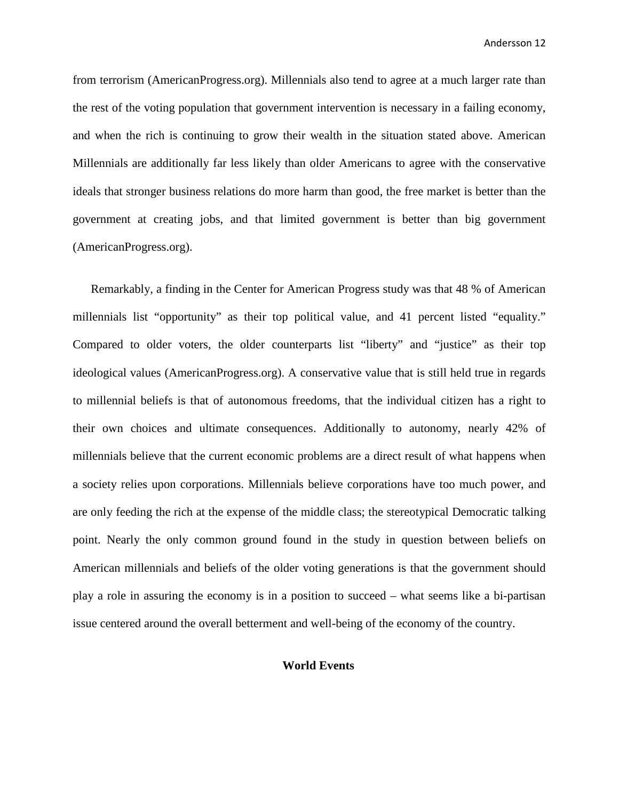from terrorism (AmericanProgress.org). Millennials also tend to agree at a much larger rate than the rest of the voting population that government intervention is necessary in a failing economy, and when the rich is continuing to grow their wealth in the situation stated above. American Millennials are additionally far less likely than older Americans to agree with the conservative ideals that stronger business relations do more harm than good, the free market is better than the government at creating jobs, and that limited government is better than big government (AmericanProgress.org).

Remarkably, a finding in the Center for American Progress study was that 48 % of American millennials list "opportunity" as their top political value, and 41 percent listed "equality." Compared to older voters, the older counterparts list "liberty" and "justice" as their top ideological values (AmericanProgress.org). A conservative value that is still held true in regards to millennial beliefs is that of autonomous freedoms, that the individual citizen has a right to their own choices and ultimate consequences. Additionally to autonomy, nearly 42% of millennials believe that the current economic problems are a direct result of what happens when a society relies upon corporations. Millennials believe corporations have too much power, and are only feeding the rich at the expense of the middle class; the stereotypical Democratic talking point. Nearly the only common ground found in the study in question between beliefs on American millennials and beliefs of the older voting generations is that the government should play a role in assuring the economy is in a position to succeed – what seems like a bi-partisan issue centered around the overall betterment and well-being of the economy of the country.

#### **World Events**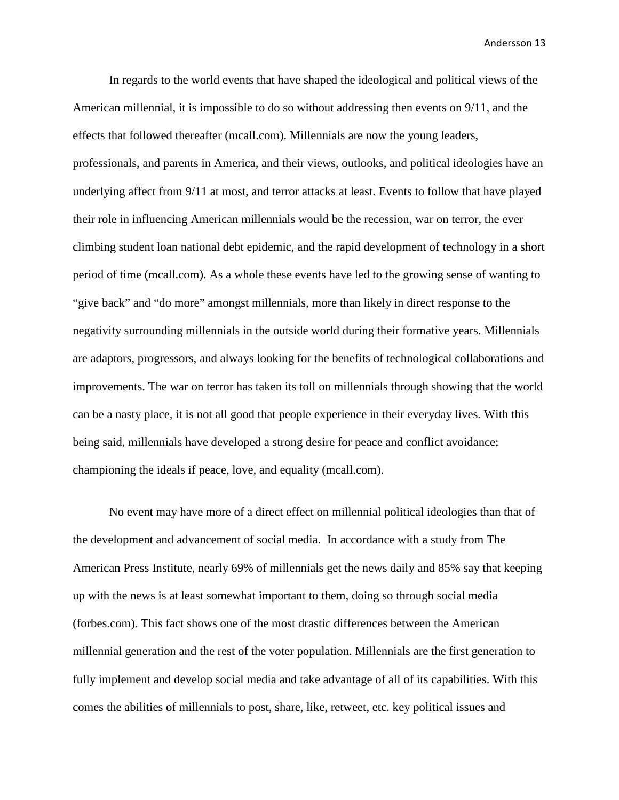In regards to the world events that have shaped the ideological and political views of the American millennial, it is impossible to do so without addressing then events on 9/11, and the effects that followed thereafter (mcall.com). Millennials are now the young leaders, professionals, and parents in America, and their views, outlooks, and political ideologies have an underlying affect from 9/11 at most, and terror attacks at least. Events to follow that have played their role in influencing American millennials would be the recession, war on terror, the ever climbing student loan national debt epidemic, and the rapid development of technology in a short period of time (mcall.com). As a whole these events have led to the growing sense of wanting to "give back" and "do more" amongst millennials, more than likely in direct response to the negativity surrounding millennials in the outside world during their formative years. Millennials are adaptors, progressors, and always looking for the benefits of technological collaborations and improvements. The war on terror has taken its toll on millennials through showing that the world can be a nasty place, it is not all good that people experience in their everyday lives. With this being said, millennials have developed a strong desire for peace and conflict avoidance; championing the ideals if peace, love, and equality (mcall.com).

No event may have more of a direct effect on millennial political ideologies than that of the development and advancement of social media. In accordance with a study from The American Press Institute, nearly 69% of millennials get the news daily and 85% say that keeping up with the news is at least somewhat important to them, doing so through social media (forbes.com). This fact shows one of the most drastic differences between the American millennial generation and the rest of the voter population. Millennials are the first generation to fully implement and develop social media and take advantage of all of its capabilities. With this comes the abilities of millennials to post, share, like, retweet, etc. key political issues and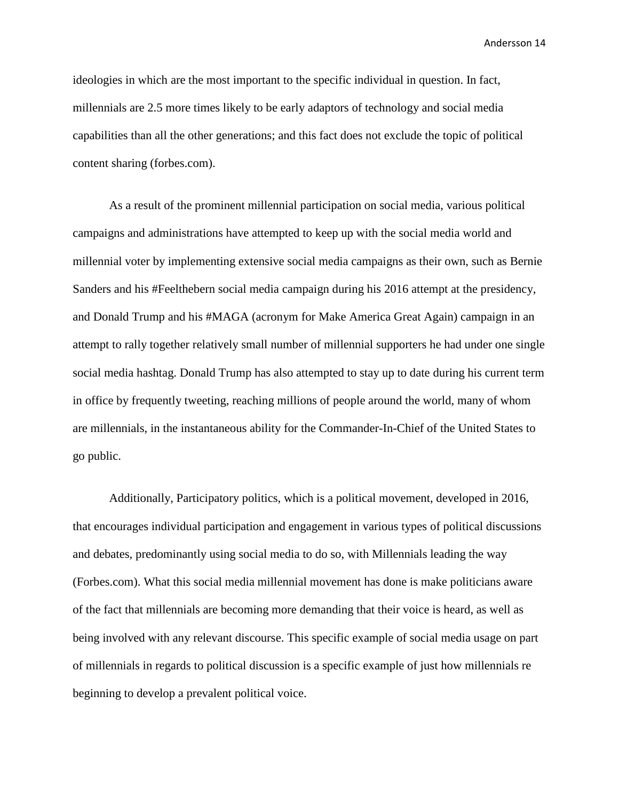ideologies in which are the most important to the specific individual in question. In fact, millennials are 2.5 more times likely to be early adaptors of technology and social media capabilities than all the other generations; and this fact does not exclude the topic of political content sharing (forbes.com).

As a result of the prominent millennial participation on social media, various political campaigns and administrations have attempted to keep up with the social media world and millennial voter by implementing extensive social media campaigns as their own, such as Bernie Sanders and his #Feelthebern social media campaign during his 2016 attempt at the presidency, and Donald Trump and his #MAGA (acronym for Make America Great Again) campaign in an attempt to rally together relatively small number of millennial supporters he had under one single social media hashtag. Donald Trump has also attempted to stay up to date during his current term in office by frequently tweeting, reaching millions of people around the world, many of whom are millennials, in the instantaneous ability for the Commander-In-Chief of the United States to go public.

Additionally, Participatory politics, which is a political movement, developed in 2016, that encourages individual participation and engagement in various types of political discussions and debates, predominantly using social media to do so, with Millennials leading the way (Forbes.com). What this social media millennial movement has done is make politicians aware of the fact that millennials are becoming more demanding that their voice is heard, as well as being involved with any relevant discourse. This specific example of social media usage on part of millennials in regards to political discussion is a specific example of just how millennials re beginning to develop a prevalent political voice.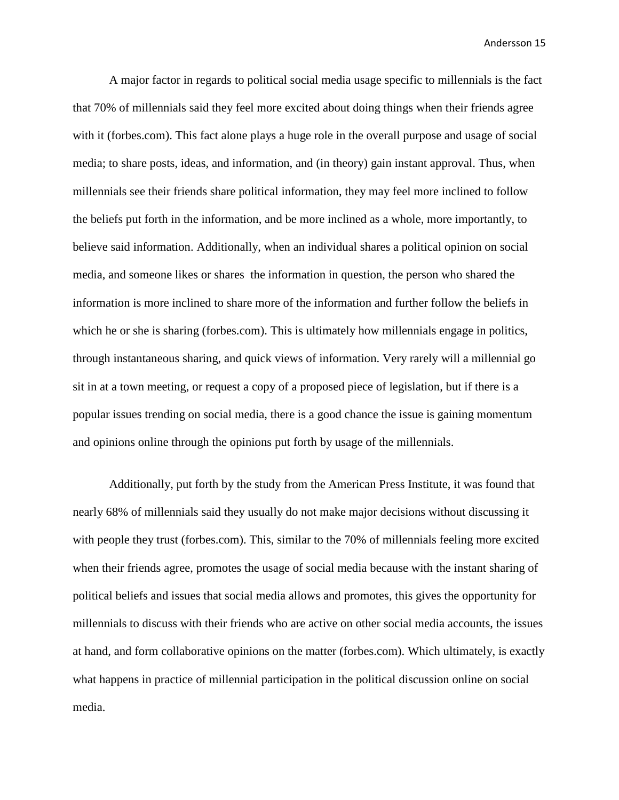A major factor in regards to political social media usage specific to millennials is the fact that 70% [of millennials](http://www.millennialmarketing.com/research-paper/american-millennials/) said they feel more excited about doing things when their friends agree with it (forbes.com). This fact alone plays a huge role in the overall purpose and usage of social media; to share posts, ideas, and information, and (in theory) gain instant approval. Thus, when millennials see their friends share political information, they may feel more inclined to follow the beliefs put forth in the information, and be more inclined as a whole, more importantly, to believe said information. Additionally, when an individual shares a political opinion on social media, and someone likes or shares the information in question, the person who shared the information is more inclined to share more of the information and further follow the beliefs in which he or she is sharing (forbes.com). This is ultimately how millennials engage in politics, through instantaneous sharing, and quick views of information. Very rarely will a millennial go sit in at a town meeting, or request a copy of a proposed piece of legislation, but if there is a popular issues trending on social media, there is a good chance the issue is gaining momentum and opinions online through the opinions put forth by usage of the millennials.

Additionally, put forth by the study from the American Press Institute, it was found that nearly 68% of millennials said they usually do not make major decisions without discussing it with people they trust (forbes.com). This, similar to the 70% of millennials feeling more excited when their friends agree, promotes the usage of social media because with the instant sharing of political beliefs and issues that social media allows and promotes, this gives the opportunity for millennials to discuss with their friends who are active on other social media accounts, the issues at hand, and form collaborative opinions on the matter (forbes.com). Which ultimately, is exactly what happens in practice of millennial participation in the political discussion online on social media.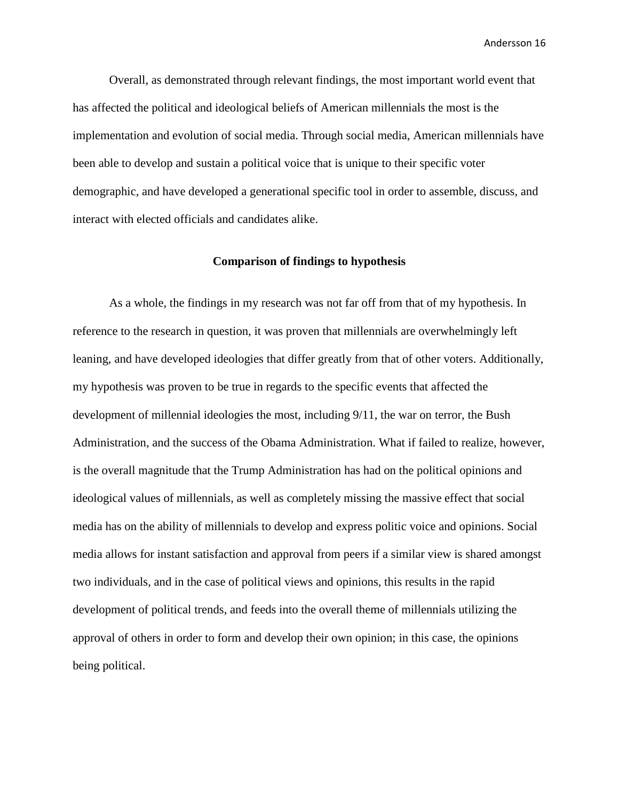Overall, as demonstrated through relevant findings, the most important world event that has affected the political and ideological beliefs of American millennials the most is the implementation and evolution of social media. Through social media, American millennials have been able to develop and sustain a political voice that is unique to their specific voter demographic, and have developed a generational specific tool in order to assemble, discuss, and interact with elected officials and candidates alike.

#### **Comparison of findings to hypothesis**

As a whole, the findings in my research was not far off from that of my hypothesis. In reference to the research in question, it was proven that millennials are overwhelmingly left leaning, and have developed ideologies that differ greatly from that of other voters. Additionally, my hypothesis was proven to be true in regards to the specific events that affected the development of millennial ideologies the most, including 9/11, the war on terror, the Bush Administration, and the success of the Obama Administration. What if failed to realize, however, is the overall magnitude that the Trump Administration has had on the political opinions and ideological values of millennials, as well as completely missing the massive effect that social media has on the ability of millennials to develop and express politic voice and opinions. Social media allows for instant satisfaction and approval from peers if a similar view is shared amongst two individuals, and in the case of political views and opinions, this results in the rapid development of political trends, and feeds into the overall theme of millennials utilizing the approval of others in order to form and develop their own opinion; in this case, the opinions being political.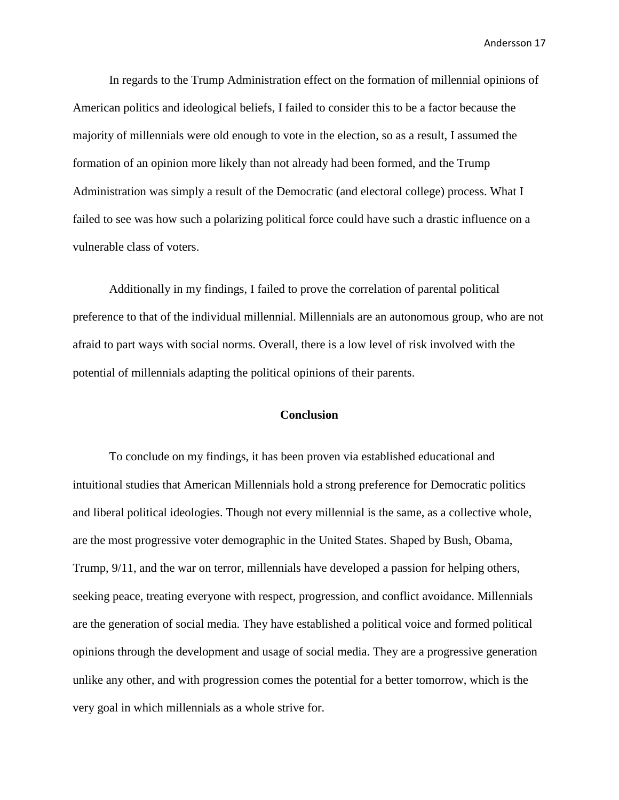In regards to the Trump Administration effect on the formation of millennial opinions of American politics and ideological beliefs, I failed to consider this to be a factor because the majority of millennials were old enough to vote in the election, so as a result, I assumed the formation of an opinion more likely than not already had been formed, and the Trump Administration was simply a result of the Democratic (and electoral college) process. What I failed to see was how such a polarizing political force could have such a drastic influence on a vulnerable class of voters.

Additionally in my findings, I failed to prove the correlation of parental political preference to that of the individual millennial. Millennials are an autonomous group, who are not afraid to part ways with social norms. Overall, there is a low level of risk involved with the potential of millennials adapting the political opinions of their parents.

#### **Conclusion**

To conclude on my findings, it has been proven via established educational and intuitional studies that American Millennials hold a strong preference for Democratic politics and liberal political ideologies. Though not every millennial is the same, as a collective whole, are the most progressive voter demographic in the United States. Shaped by Bush, Obama, Trump, 9/11, and the war on terror, millennials have developed a passion for helping others, seeking peace, treating everyone with respect, progression, and conflict avoidance. Millennials are the generation of social media. They have established a political voice and formed political opinions through the development and usage of social media. They are a progressive generation unlike any other, and with progression comes the potential for a better tomorrow, which is the very goal in which millennials as a whole strive for.